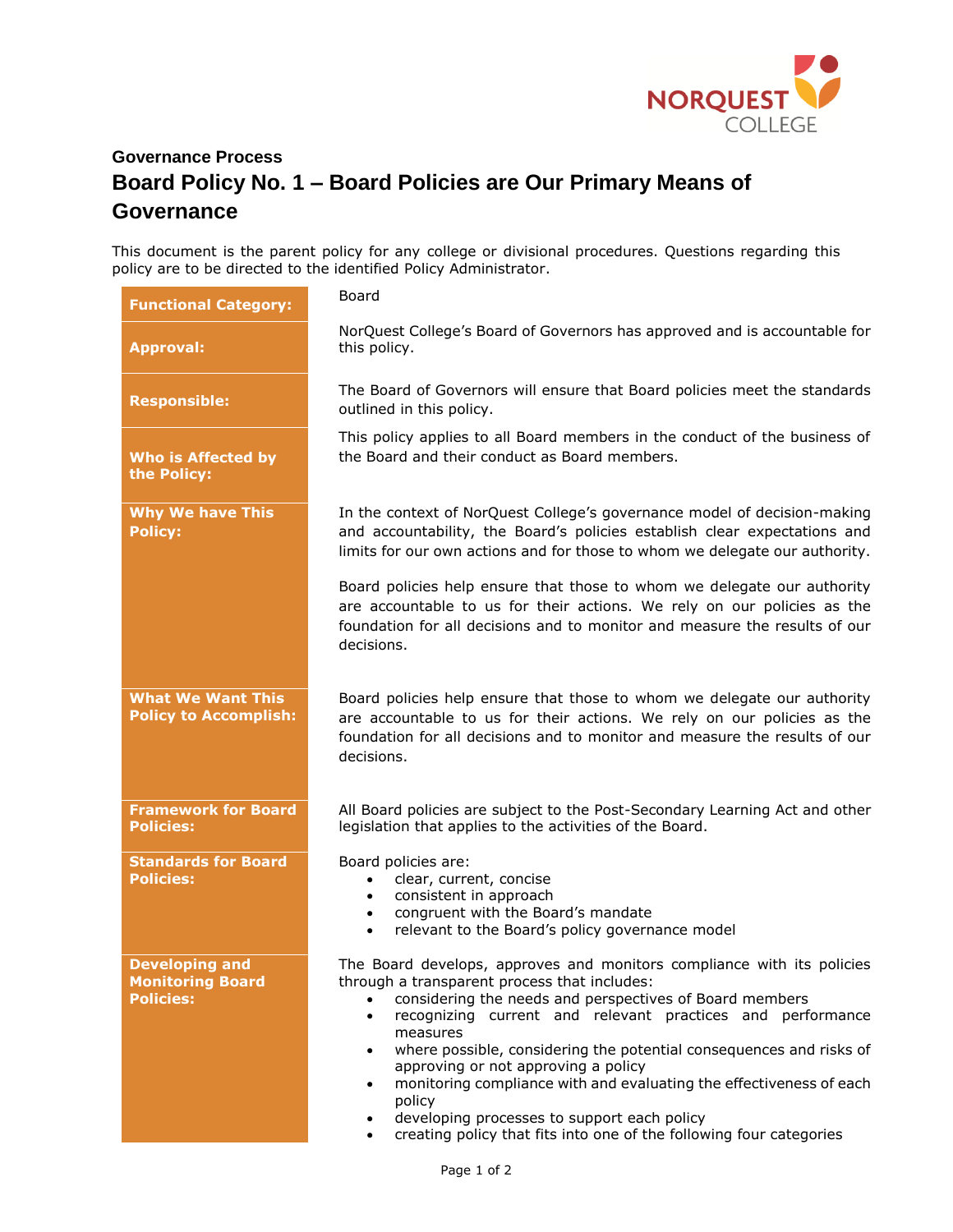

## **Governance Process Board Policy No. 1 – Board Policies are Our Primary Means of Governance**

This document is the parent policy for any college or divisional procedures. Questions regarding this policy are to be directed to the identified Policy Administrator.

| <b>Functional Category:</b>                                          | Board                                                                                                                                                                                                                                                                                                                                                                                                                                                                                                                                                                                                                   |
|----------------------------------------------------------------------|-------------------------------------------------------------------------------------------------------------------------------------------------------------------------------------------------------------------------------------------------------------------------------------------------------------------------------------------------------------------------------------------------------------------------------------------------------------------------------------------------------------------------------------------------------------------------------------------------------------------------|
| <b>Approval:</b>                                                     | NorQuest College's Board of Governors has approved and is accountable for<br>this policy.                                                                                                                                                                                                                                                                                                                                                                                                                                                                                                                               |
| <b>Responsible:</b>                                                  | The Board of Governors will ensure that Board policies meet the standards<br>outlined in this policy.                                                                                                                                                                                                                                                                                                                                                                                                                                                                                                                   |
| <b>Who is Affected by</b><br>the Policy:                             | This policy applies to all Board members in the conduct of the business of<br>the Board and their conduct as Board members.                                                                                                                                                                                                                                                                                                                                                                                                                                                                                             |
| <b>Why We have This</b><br><b>Policy:</b>                            | In the context of NorQuest College's governance model of decision-making<br>and accountability, the Board's policies establish clear expectations and<br>limits for our own actions and for those to whom we delegate our authority.                                                                                                                                                                                                                                                                                                                                                                                    |
|                                                                      | Board policies help ensure that those to whom we delegate our authority<br>are accountable to us for their actions. We rely on our policies as the<br>foundation for all decisions and to monitor and measure the results of our<br>decisions.                                                                                                                                                                                                                                                                                                                                                                          |
| <b>What We Want This</b><br><b>Policy to Accomplish:</b>             | Board policies help ensure that those to whom we delegate our authority<br>are accountable to us for their actions. We rely on our policies as the<br>foundation for all decisions and to monitor and measure the results of our<br>decisions.                                                                                                                                                                                                                                                                                                                                                                          |
| <b>Framework for Board</b><br><b>Policies:</b>                       | All Board policies are subject to the Post-Secondary Learning Act and other<br>legislation that applies to the activities of the Board.                                                                                                                                                                                                                                                                                                                                                                                                                                                                                 |
| <b>Standards for Board</b><br><b>Policies:</b>                       | Board policies are:<br>clear, current, concise<br>$\bullet$<br>consistent in approach<br>$\bullet$<br>congruent with the Board's mandate<br>$\bullet$<br>relevant to the Board's policy governance model<br>$\bullet$                                                                                                                                                                                                                                                                                                                                                                                                   |
| <b>Developing and</b><br><b>Monitoring Board</b><br><b>Policies:</b> | The Board develops, approves and monitors compliance with its policies<br>through a transparent process that includes:<br>considering the needs and perspectives of Board members<br>recognizing current and relevant practices and performance<br>$\bullet$<br>measures<br>where possible, considering the potential consequences and risks of<br>$\bullet$<br>approving or not approving a policy<br>monitoring compliance with and evaluating the effectiveness of each<br>$\bullet$<br>policy<br>developing processes to support each policy<br>creating policy that fits into one of the following four categories |